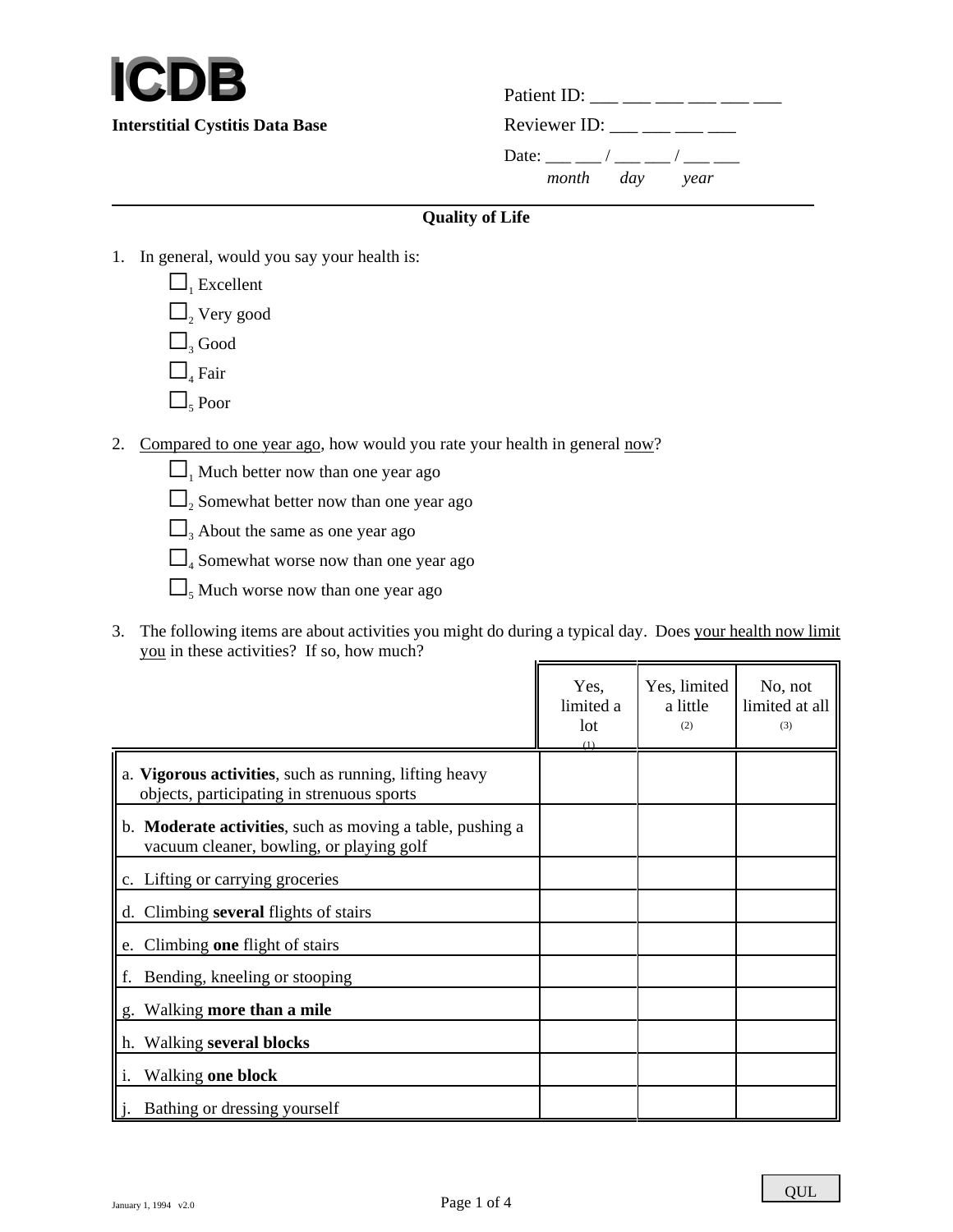

Patient ID: \_\_\_ \_\_\_ \_\_\_ \_\_\_ \_\_\_ \_\_\_ **Interstitial Cystitis Data Base** Reviewer ID: \_\_\_ \_\_ \_\_ \_\_ Date: \_\_\_ \_\_ / \_\_\_ \_\_ / \_\_\_ \_\_ *month day year*  $\overline{a}$ 

## **Quality of Life**

- 1. In general, would you say your health is:
	- $\Box$ <sub>1</sub> Excellent  $\Box$ <sub>2</sub> Very good  $\Box$ <sub>3</sub> Good  $\Box$ <sub>4</sub> Fair  $\Box$ <sub>5</sub> Poor
- 2. Compared to one year ago, how would you rate your health in general now?
	- $\Box$  Much better now than one year ago
	- $\square$ <sub>2</sub> Somewhat better now than one year ago
	- $\Box$ <sub>3</sub> About the same as one year ago
	- $\Box$ <sub>4</sub> Somewhat worse now than one year ago
	- $\Box$ <sub>5</sub> Much worse now than one year ago
- 3. The following items are about activities you might do during a typical day. Does your health now limit you in these activities? If so, how much?

|                                                                                                       | Yes,<br>limited a<br>lot | Yes, limited<br>a little<br>(2) | No, not<br>limited at all<br>(3) |
|-------------------------------------------------------------------------------------------------------|--------------------------|---------------------------------|----------------------------------|
| a. Vigorous activities, such as running, lifting heavy<br>objects, participating in strenuous sports  |                          |                                 |                                  |
| b. Moderate activities, such as moving a table, pushing a<br>vacuum cleaner, bowling, or playing golf |                          |                                 |                                  |
| c. Lifting or carrying groceries                                                                      |                          |                                 |                                  |
| d. Climbing several flights of stairs                                                                 |                          |                                 |                                  |
| e. Climbing one flight of stairs                                                                      |                          |                                 |                                  |
| f. Bending, kneeling or stooping                                                                      |                          |                                 |                                  |
| g. Walking more than a mile                                                                           |                          |                                 |                                  |
| h. Walking several blocks                                                                             |                          |                                 |                                  |
| Walking one block                                                                                     |                          |                                 |                                  |
| Bathing or dressing yourself                                                                          |                          |                                 |                                  |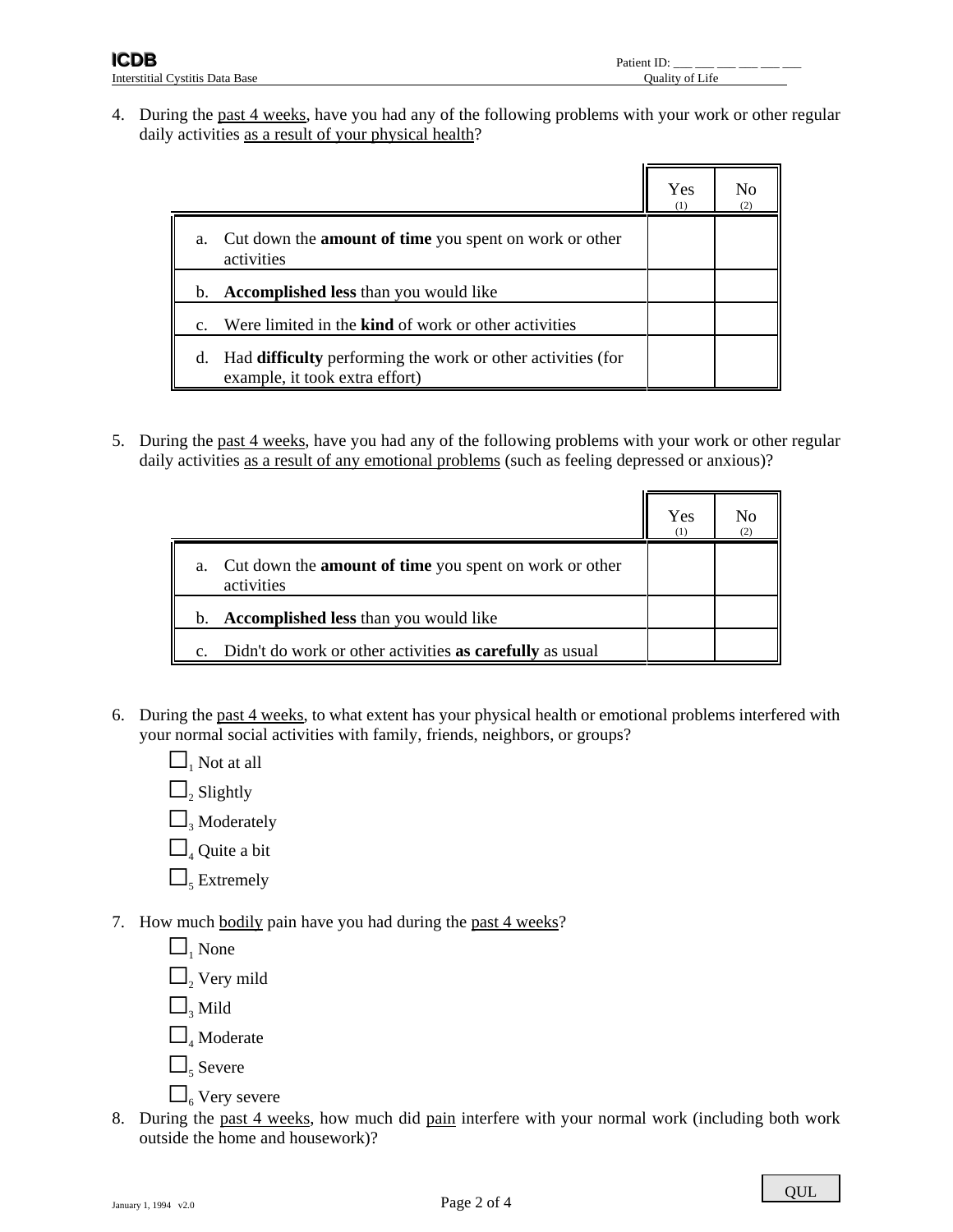4. During the past 4 weeks, have you had any of the following problems with your work or other regular daily activities as a result of your physical health?

|                                                                                                            | Yes<br>(1) | No |
|------------------------------------------------------------------------------------------------------------|------------|----|
| Cut down the <b>amount of time</b> you spent on work or other<br>a.<br>activities                          |            |    |
| <b>Accomplished less than you would like</b><br>b.                                                         |            |    |
| Were limited in the <b>kind</b> of work or other activities<br>$\mathbf{c}$ .                              |            |    |
| Had <b>difficulty</b> performing the work or other activities (for<br>d.<br>example, it took extra effort) |            |    |

5. During the past 4 weeks, have you had any of the following problems with your work or other regular daily activities as a result of any emotional problems (such as feeling depressed or anxious)?

|                                                                                | Yes<br>(1) | Nο<br>(2) |
|--------------------------------------------------------------------------------|------------|-----------|
| a. Cut down the <b>amount of time</b> you spent on work or other<br>activities |            |           |
| <b>Accomplished less than you would like</b><br>$b_{1}$                        |            |           |
| c. Didn't do work or other activities as carefully as usual                    |            |           |

- 6. During the past 4 weeks, to what extent has your physical health or emotional problems interfered with your normal social activities with family, friends, neighbors, or groups?
	- $\Box$  Not at all
	- $\Box_{\scriptscriptstyle 2}$  Slightly
	- $\Box$ <sub>3</sub> Moderately
	- $\Box$ <sub>4</sub> Quite a bit
	- $\Box$ <sub>5</sub> Extremely
- 7. How much bodily pain have you had during the past 4 weeks?
	- $\Box$  None  $\Box$ <sub>2</sub> Very mild  $\Box$ <sub>3</sub> Mild  $\Box$ <sub>4</sub> Moderate  $\Box$ <sub>5</sub> Severe  $\Box$  Very severe
- 8. During the past 4 weeks, how much did pain interfere with your normal work (including both work outside the home and housework)?

QUL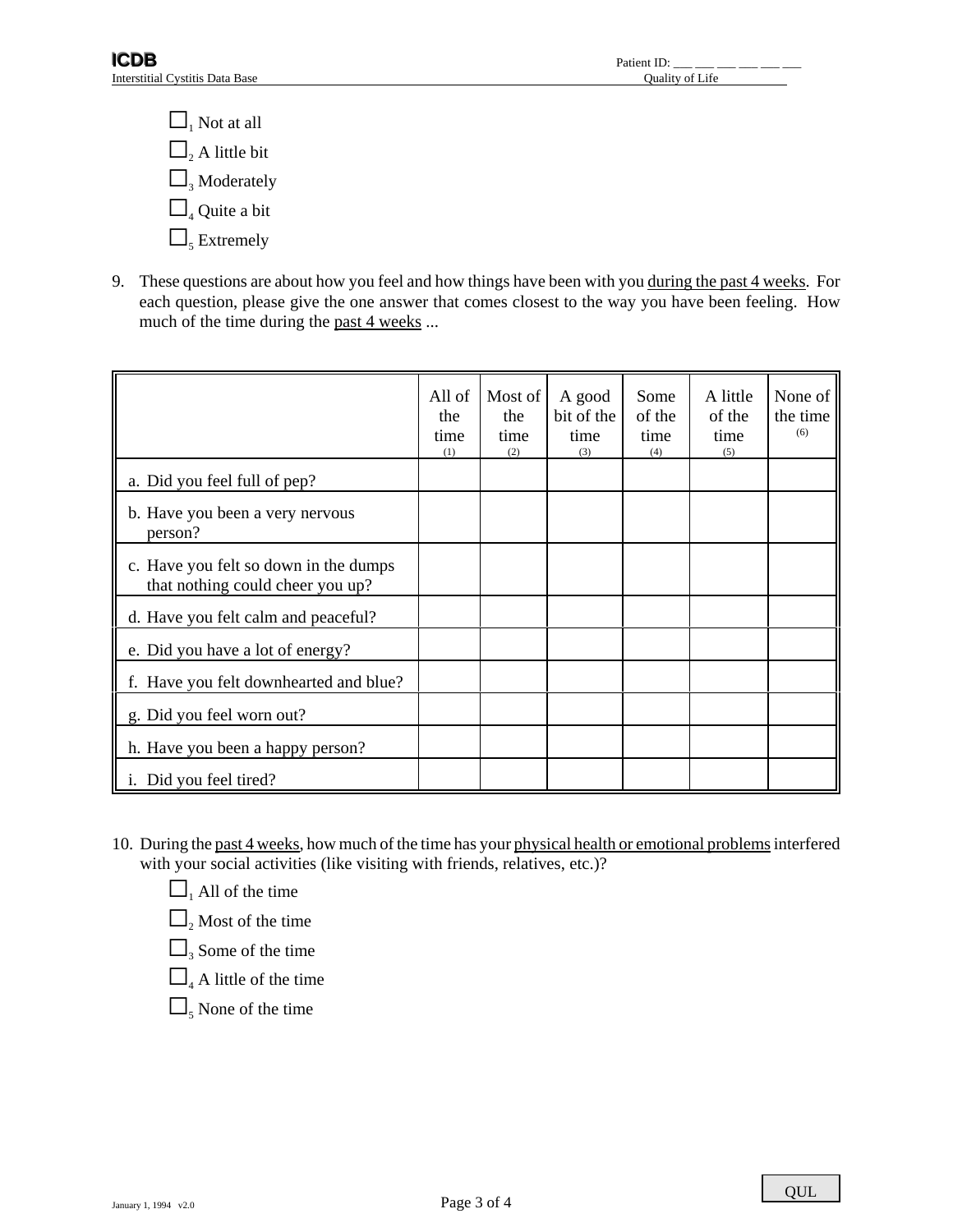$\Box$  Not at all  $\Box$ <sub>2</sub> A little bit  $\Box$ <sub>3</sub> Moderately  $\Box$ <sub>4</sub> Quite a bit  $\Box$ <sub>5</sub> Extremely

9. These questions are about how you feel and how things have been with you during the past 4 weeks. For each question, please give the one answer that comes closest to the way you have been feeling. How much of the time during the past 4 weeks ...

|                                                                           | All of<br>the<br>time<br>(1) | Most of<br>the<br>time<br>(2) | A good<br>bit of the<br>time<br>(3) | Some<br>of the<br>time<br>(4) | A little<br>of the<br>time<br>(5) | None of<br>the time<br>(6) |
|---------------------------------------------------------------------------|------------------------------|-------------------------------|-------------------------------------|-------------------------------|-----------------------------------|----------------------------|
| a. Did you feel full of pep?                                              |                              |                               |                                     |                               |                                   |                            |
| b. Have you been a very nervous<br>person?                                |                              |                               |                                     |                               |                                   |                            |
| c. Have you felt so down in the dumps<br>that nothing could cheer you up? |                              |                               |                                     |                               |                                   |                            |
| d. Have you felt calm and peaceful?                                       |                              |                               |                                     |                               |                                   |                            |
| e. Did you have a lot of energy?                                          |                              |                               |                                     |                               |                                   |                            |
| f. Have you felt downhearted and blue?                                    |                              |                               |                                     |                               |                                   |                            |
| g. Did you feel worn out?                                                 |                              |                               |                                     |                               |                                   |                            |
| h. Have you been a happy person?                                          |                              |                               |                                     |                               |                                   |                            |
| i. Did you feel tired?                                                    |                              |                               |                                     |                               |                                   |                            |

- 10. During the past 4 weeks, how much of the time has your physical health or emotional problems interfered with your social activities (like visiting with friends, relatives, etc.)?
	- $\Box$  All of the time
	- $\Box$ <sub>2</sub> Most of the time
	- $\Box$ <sub>3</sub> Some of the time
	- $\Box$ <sub>4</sub> A little of the time
	- $\Box$ <sub>5</sub> None of the time